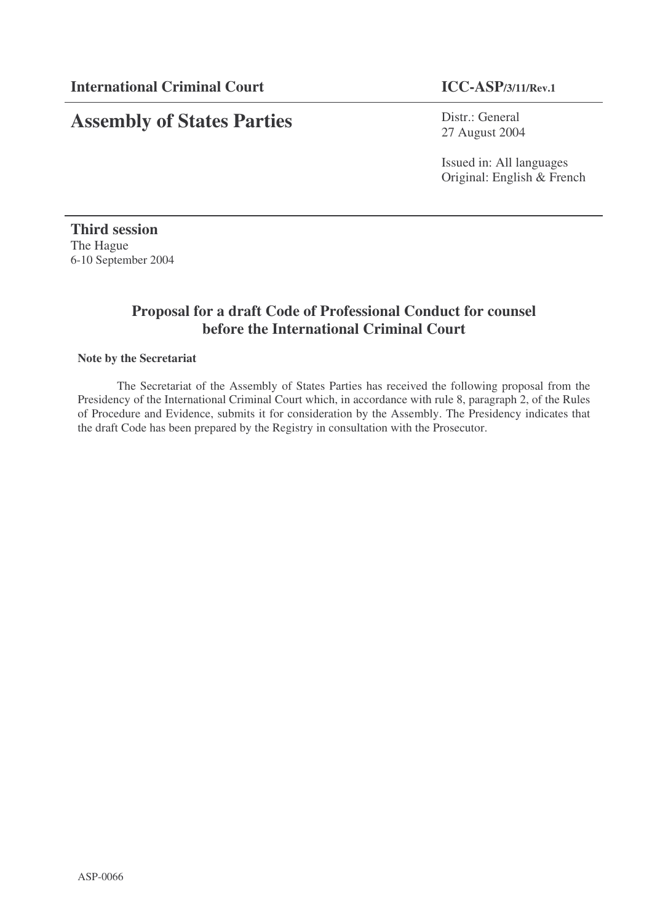# **Assembly of States Parties**

Distr.: General 27 August 2004

Issued in: All languages Original: English & French

**Third session** The Hague 6-10 September 2004

### **Proposal for a draft Code of Professional Conduct for counsel before the International Criminal Court**

#### **Note by the Secretariat**

The Secretariat of the Assembly of States Parties has received the following proposal from the Presidency of the International Criminal Court which, in accordance with rule 8, paragraph 2, of the Rules of Procedure and Evidence, submits it for consideration by the Assembly. The Presidency indicates that the draft Code has been prepared by the Registry in consultation with the Prosecutor.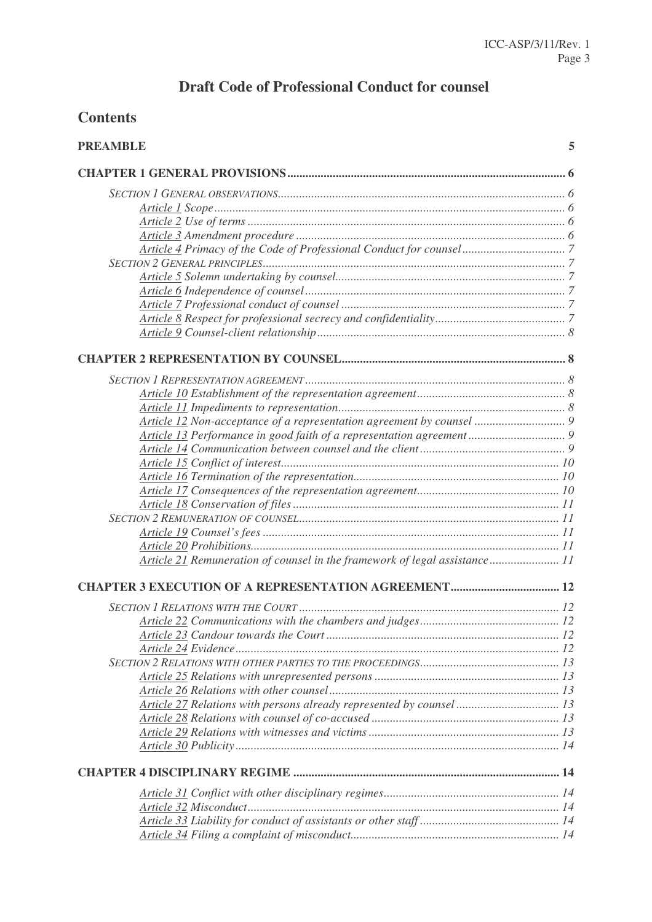# **Draft Code of Professional Conduct for counsel**

## **Contents**

| <b>PREAMBLE</b>                                                            | 5 |
|----------------------------------------------------------------------------|---|
|                                                                            |   |
|                                                                            |   |
|                                                                            |   |
|                                                                            |   |
|                                                                            |   |
|                                                                            |   |
|                                                                            |   |
|                                                                            |   |
|                                                                            |   |
|                                                                            |   |
|                                                                            |   |
|                                                                            |   |
|                                                                            |   |
|                                                                            |   |
|                                                                            |   |
|                                                                            |   |
|                                                                            |   |
|                                                                            |   |
|                                                                            |   |
|                                                                            |   |
|                                                                            |   |
|                                                                            |   |
|                                                                            |   |
|                                                                            |   |
|                                                                            |   |
|                                                                            |   |
| Article 21 Remuneration of counsel in the framework of legal assistance 11 |   |
|                                                                            |   |
|                                                                            |   |
|                                                                            |   |
|                                                                            |   |
|                                                                            |   |
|                                                                            |   |
|                                                                            |   |
|                                                                            |   |
|                                                                            |   |
|                                                                            |   |
|                                                                            |   |
|                                                                            |   |
|                                                                            |   |
|                                                                            |   |
|                                                                            |   |
|                                                                            |   |
|                                                                            |   |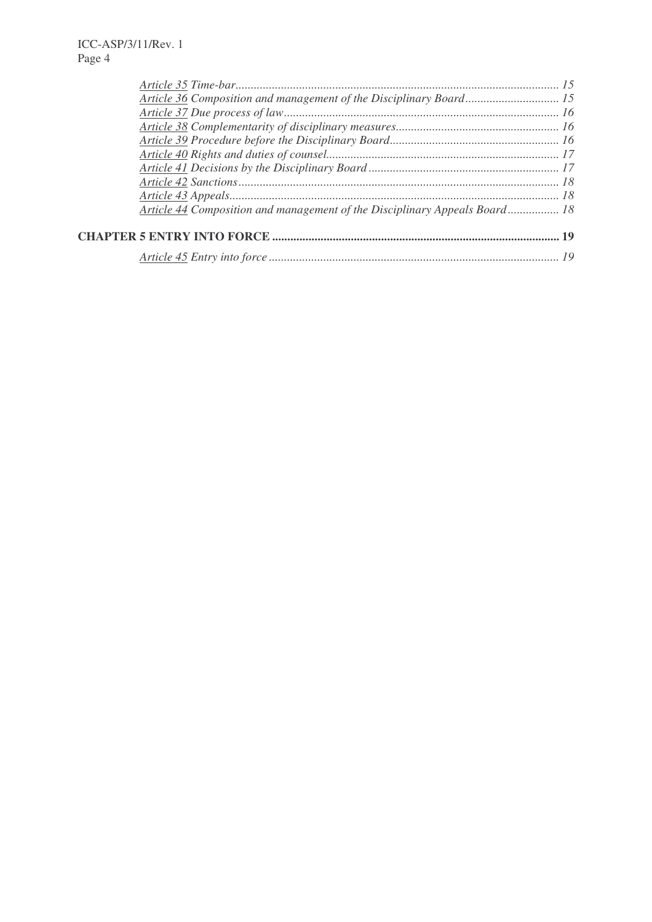| Article 36 Composition and management of the Disciplinary Board 15         |  |
|----------------------------------------------------------------------------|--|
|                                                                            |  |
|                                                                            |  |
|                                                                            |  |
|                                                                            |  |
|                                                                            |  |
|                                                                            |  |
|                                                                            |  |
| Article 44 Composition and management of the Disciplinary Appeals Board 18 |  |
|                                                                            |  |
|                                                                            |  |
|                                                                            |  |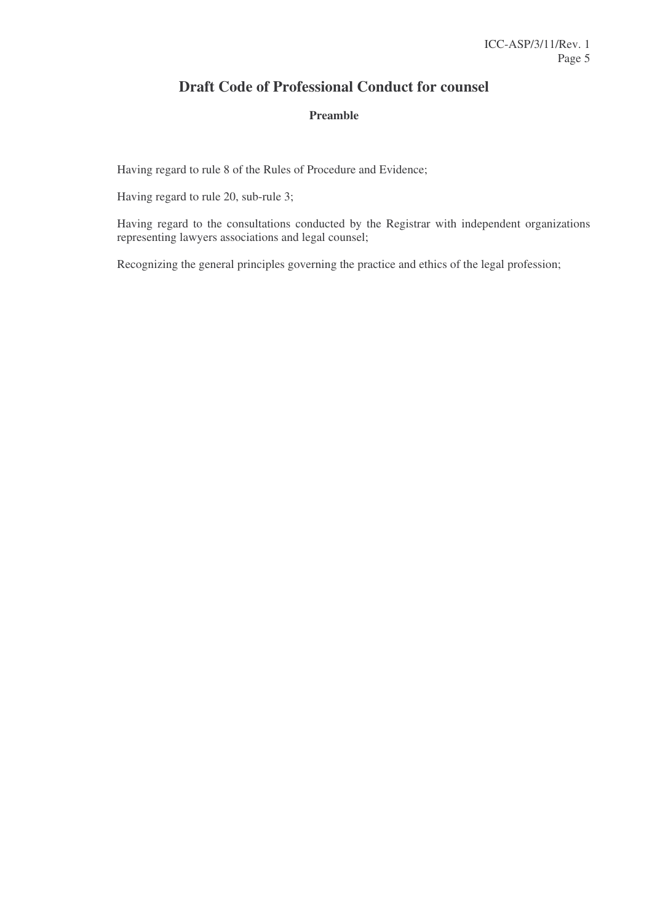### **Draft Code of Professional Conduct for counsel**

### **Preamble**

Having regard to rule 8 of the Rules of Procedure and Evidence;

Having regard to rule 20, sub-rule 3;

Having regard to the consultations conducted by the Registrar with independent organizations representing lawyers associations and legal counsel;

Recognizing the general principles governing the practice and ethics of the legal profession;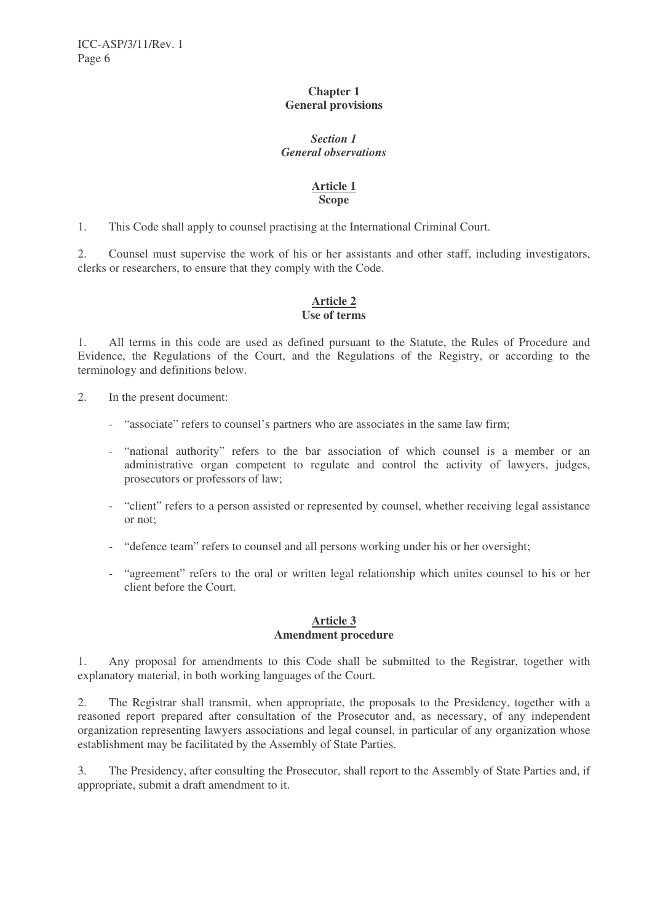#### **Chapter 1 General provisions**

#### *Section 1 General observations*

#### **Article 1 Scope**

1. This Code shall apply to counsel practising at the International Criminal Court.

2. Counsel must supervise the work of his or her assistants and other staff, including investigators, clerks or researchers, to ensure that they comply with the Code.

#### **Article 2 Use of terms**

1. All terms in this code are used as defined pursuant to the Statute, the Rules of Procedure and Evidence, the Regulations of the Court, and the Regulations of the Registry, or according to the terminology and definitions below.

2. In the present document:

- "associate" refers to counsel's partners who are associates in the same law firm;
- "national authority" refers to the bar association of which counsel is a member or an administrative organ competent to regulate and control the activity of lawyers, judges, prosecutors or professors of law;
- "client" refers to a person assisted or represented by counsel, whether receiving legal assistance or not;
- "defence team" refers to counsel and all persons working under his or her oversight;
- "agreement" refers to the oral or written legal relationship which unites counsel to his or her client before the Court.

#### **Article 3 Amendment procedure**

1. Any proposal for amendments to this Code shall be submitted to the Registrar, together with explanatory material, in both working languages of the Court.

2. The Registrar shall transmit, when appropriate, the proposals to the Presidency, together with a reasoned report prepared after consultation of the Prosecutor and, as necessary, of any independent organization representing lawyers associations and legal counsel, in particular of any organization whose establishment may be facilitated by the Assembly of State Parties.

3. The Presidency, after consulting the Prosecutor, shall report to the Assembly of State Parties and, if appropriate, submit a draft amendment to it.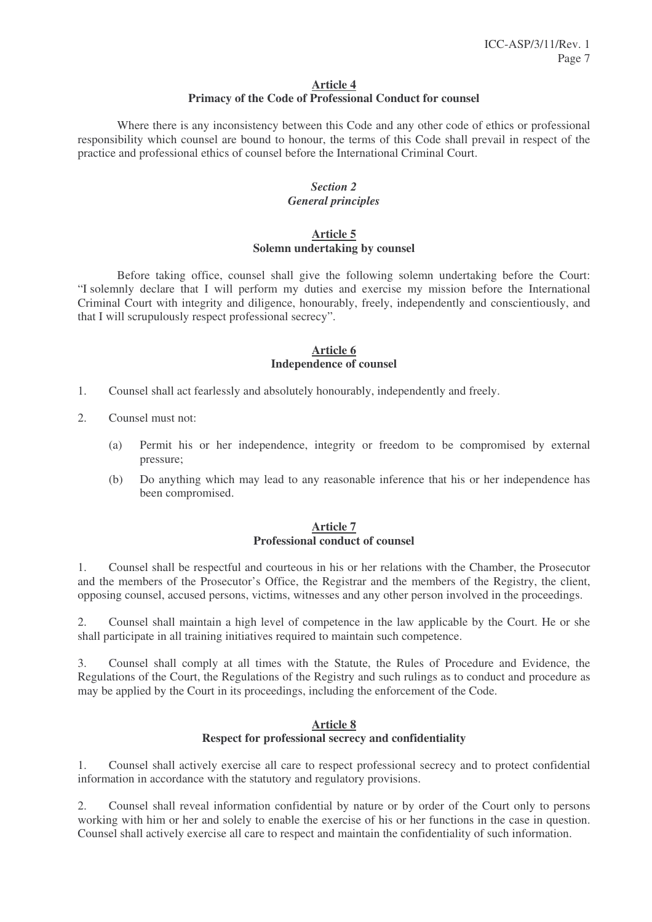### **Article 4**

#### **Primacy of the Code of Professional Conduct for counsel**

Where there is any inconsistency between this Code and any other code of ethics or professional responsibility which counsel are bound to honour, the terms of this Code shall prevail in respect of the practice and professional ethics of counsel before the International Criminal Court.

#### *Section 2 General principles*

#### **Article 5 Solemn undertaking by counsel**

Before taking office, counsel shall give the following solemn undertaking before the Court: "I solemnly declare that I will perform my duties and exercise my mission before the International Criminal Court with integrity and diligence, honourably, freely, independently and conscientiously, and that I will scrupulously respect professional secrecy".

#### **Article 6 Independence of counsel**

- 1. Counsel shall act fearlessly and absolutely honourably, independently and freely.
- 2. Counsel must not:
	- (a) Permit his or her independence, integrity or freedom to be compromised by external pressure;
	- (b) Do anything which may lead to any reasonable inference that his or her independence has been compromised.

#### **Article 7 Professional conduct of counsel**

1. Counsel shall be respectful and courteous in his or her relations with the Chamber, the Prosecutor and the members of the Prosecutor's Office, the Registrar and the members of the Registry, the client, opposing counsel, accused persons, victims, witnesses and any other person involved in the proceedings.

2. Counsel shall maintain a high level of competence in the law applicable by the Court. He or she shall participate in all training initiatives required to maintain such competence.

3. Counsel shall comply at all times with the Statute, the Rules of Procedure and Evidence, the Regulations of the Court, the Regulations of the Registry and such rulings as to conduct and procedure as may be applied by the Court in its proceedings, including the enforcement of the Code.

#### **Article 8 Respect for professional secrecy and confidentiality**

1. Counsel shall actively exercise all care to respect professional secrecy and to protect confidential information in accordance with the statutory and regulatory provisions.

2. Counsel shall reveal information confidential by nature or by order of the Court only to persons working with him or her and solely to enable the exercise of his or her functions in the case in question. Counsel shall actively exercise all care to respect and maintain the confidentiality of such information.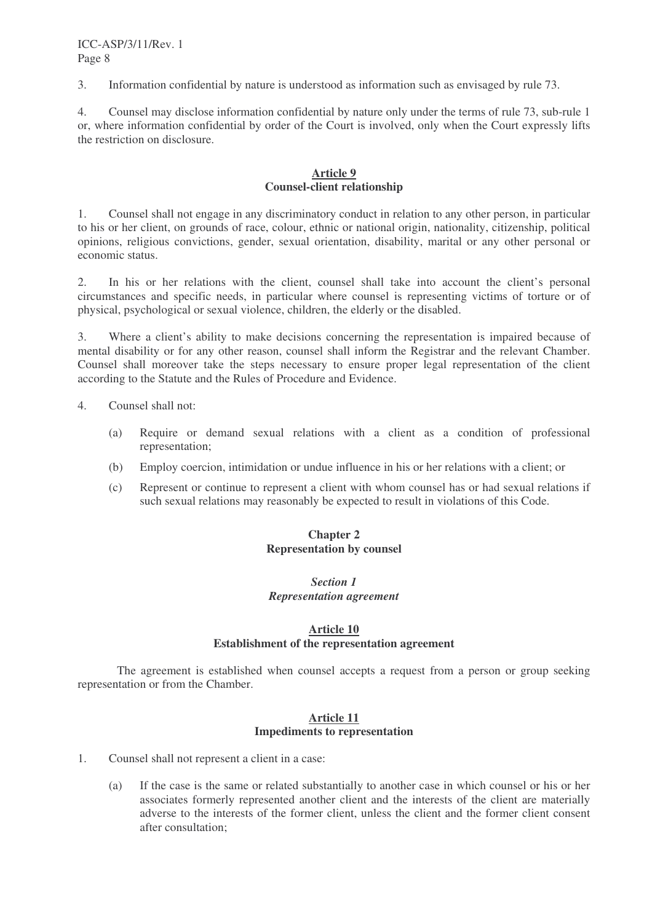3. Information confidential by nature is understood as information such as envisaged by rule 73.

4. Counsel may disclose information confidential by nature only under the terms of rule 73, sub-rule 1 or, where information confidential by order of the Court is involved, only when the Court expressly lifts the restriction on disclosure.

#### **Article 9 Counsel-client relationship**

1. Counsel shall not engage in any discriminatory conduct in relation to any other person, in particular to his or her client, on grounds of race, colour, ethnic or national origin, nationality, citizenship, political opinions, religious convictions, gender, sexual orientation, disability, marital or any other personal or economic status.

2. In his or her relations with the client, counsel shall take into account the client's personal circumstances and specific needs, in particular where counsel is representing victims of torture or of physical, psychological or sexual violence, children, the elderly or the disabled.

3. Where a client's ability to make decisions concerning the representation is impaired because of mental disability or for any other reason, counsel shall inform the Registrar and the relevant Chamber. Counsel shall moreover take the steps necessary to ensure proper legal representation of the client according to the Statute and the Rules of Procedure and Evidence.

- 4. Counsel shall not:
	- (a) Require or demand sexual relations with a client as a condition of professional representation;
	- (b) Employ coercion, intimidation or undue influence in his or her relations with a client; or
	- (c) Represent or continue to represent a client with whom counsel has or had sexual relations if such sexual relations may reasonably be expected to result in violations of this Code.

#### **Chapter 2 Representation by counsel**

#### *Section 1 Representation agreement*

#### **Article 10**

#### **Establishment of the representation agreement**

The agreement is established when counsel accepts a request from a person or group seeking representation or from the Chamber.

#### **Article 11 Impediments to representation**

- 1. Counsel shall not represent a client in a case:
	- (a) If the case is the same or related substantially to another case in which counsel or his or her associates formerly represented another client and the interests of the client are materially adverse to the interests of the former client, unless the client and the former client consent after consultation;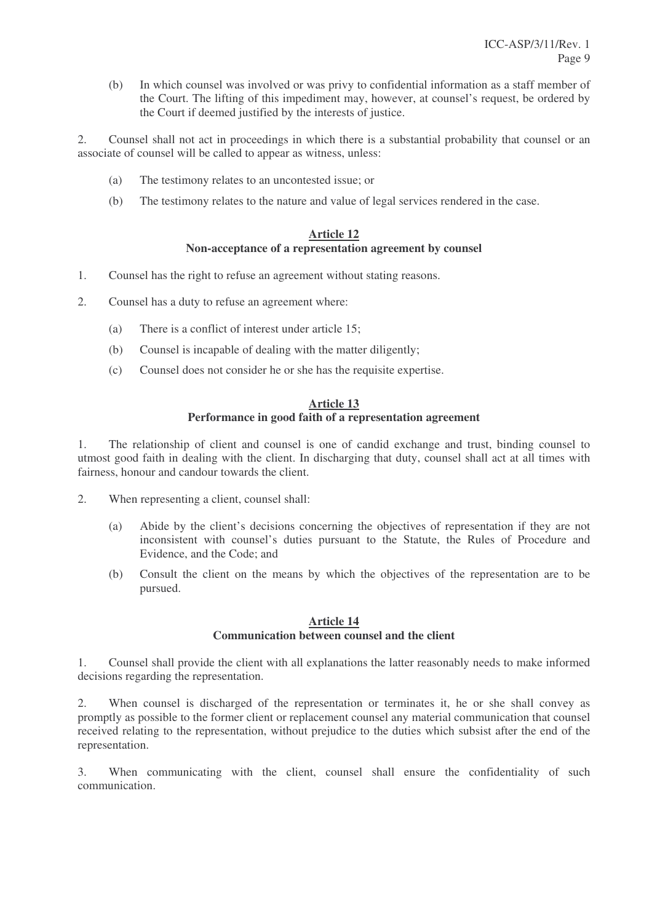(b) In which counsel was involved or was privy to confidential information as a staff member of the Court. The lifting of this impediment may, however, at counsel's request, be ordered by the Court if deemed justified by the interests of justice.

2. Counsel shall not act in proceedings in which there is a substantial probability that counsel or an associate of counsel will be called to appear as witness, unless:

- (a) The testimony relates to an uncontested issue; or
- (b) The testimony relates to the nature and value of legal services rendered in the case.

#### **Article 12 Non-acceptance of a representation agreement by counsel**

- 1. Counsel has the right to refuse an agreement without stating reasons.
- 2. Counsel has a duty to refuse an agreement where:
	- (a) There is a conflict of interest under article 15;
	- (b) Counsel is incapable of dealing with the matter diligently;
	- (c) Counsel does not consider he or she has the requisite expertise.

#### **Article 13 Performance in good faith of a representation agreement**

1. The relationship of client and counsel is one of candid exchange and trust, binding counsel to utmost good faith in dealing with the client. In discharging that duty, counsel shall act at all times with fairness, honour and candour towards the client.

- 2. When representing a client, counsel shall:
	- (a) Abide by the client's decisions concerning the objectives of representation if they are not inconsistent with counsel's duties pursuant to the Statute, the Rules of Procedure and Evidence, and the Code; and
	- (b) Consult the client on the means by which the objectives of the representation are to be pursued.

#### **Article 14 Communication between counsel and the client**

1. Counsel shall provide the client with all explanations the latter reasonably needs to make informed decisions regarding the representation.

2. When counsel is discharged of the representation or terminates it, he or she shall convey as promptly as possible to the former client or replacement counsel any material communication that counsel received relating to the representation, without prejudice to the duties which subsist after the end of the representation.

3. When communicating with the client, counsel shall ensure the confidentiality of such communication.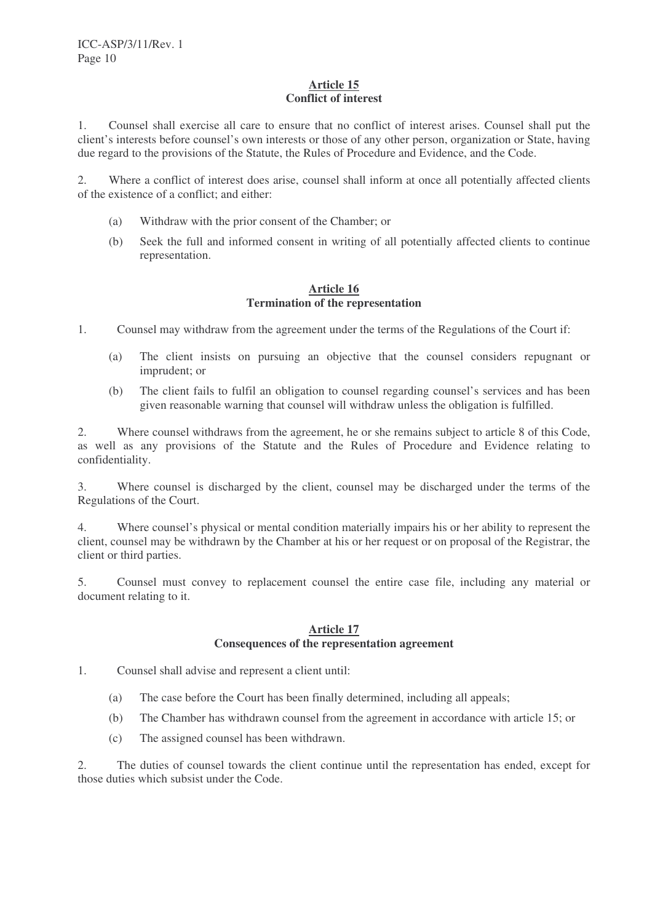#### **Article 15 Conflict of interest**

1. Counsel shall exercise all care to ensure that no conflict of interest arises. Counsel shall put the client's interests before counsel's own interests or those of any other person, organization or State, having due regard to the provisions of the Statute, the Rules of Procedure and Evidence, and the Code.

2. Where a conflict of interest does arise, counsel shall inform at once all potentially affected clients of the existence of a conflict; and either:

- (a) Withdraw with the prior consent of the Chamber; or
- (b) Seek the full and informed consent in writing of all potentially affected clients to continue representation.

#### **Article 16 Termination of the representation**

1. Counsel may withdraw from the agreement under the terms of the Regulations of the Court if:

- (a) The client insists on pursuing an objective that the counsel considers repugnant or imprudent; or
- (b) The client fails to fulfil an obligation to counsel regarding counsel's services and has been given reasonable warning that counsel will withdraw unless the obligation is fulfilled.

2. Where counsel withdraws from the agreement, he or she remains subject to article 8 of this Code, as well as any provisions of the Statute and the Rules of Procedure and Evidence relating to confidentiality.

3. Where counsel is discharged by the client, counsel may be discharged under the terms of the Regulations of the Court.

4. Where counsel's physical or mental condition materially impairs his or her ability to represent the client, counsel may be withdrawn by the Chamber at his or her request or on proposal of the Registrar, the client or third parties.

5. Counsel must convey to replacement counsel the entire case file, including any material or document relating to it.

#### **Article 17 Consequences of the representation agreement**

- 1. Counsel shall advise and represent a client until:
	- (a) The case before the Court has been finally determined, including all appeals;
	- (b) The Chamber has withdrawn counsel from the agreement in accordance with article 15; or
	- (c) The assigned counsel has been withdrawn.

2. The duties of counsel towards the client continue until the representation has ended, except for those duties which subsist under the Code.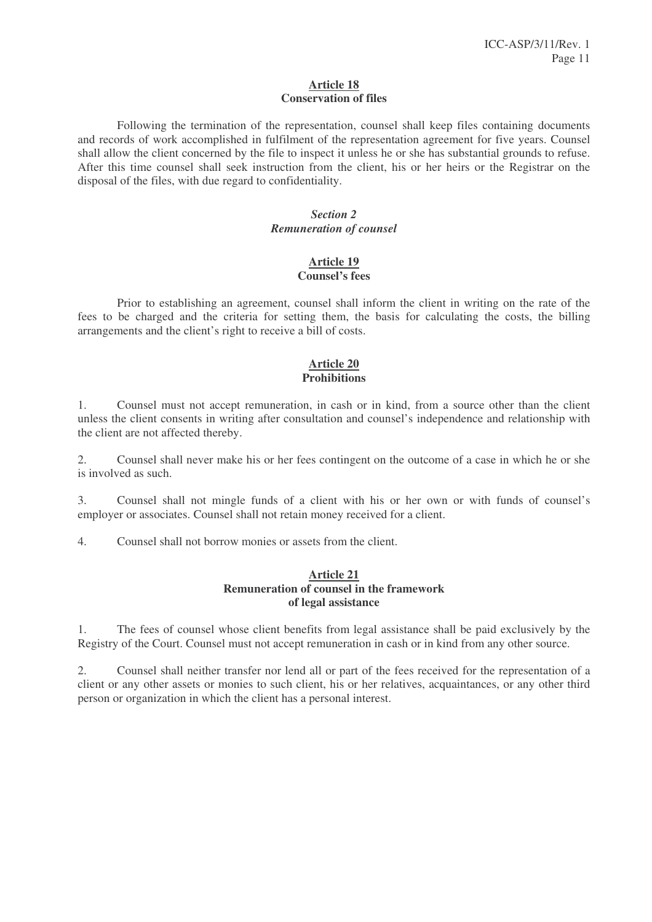#### **Article 18 Conservation of files**

Following the termination of the representation, counsel shall keep files containing documents and records of work accomplished in fulfilment of the representation agreement for five years. Counsel shall allow the client concerned by the file to inspect it unless he or she has substantial grounds to refuse. After this time counsel shall seek instruction from the client, his or her heirs or the Registrar on the disposal of the files, with due regard to confidentiality.

#### *Section 2 Remuneration of counsel*

#### **Article 19 Counsel's fees**

Prior to establishing an agreement, counsel shall inform the client in writing on the rate of the fees to be charged and the criteria for setting them, the basis for calculating the costs, the billing arrangements and the client's right to receive a bill of costs.

#### **Article 20 Prohibitions**

1. Counsel must not accept remuneration, in cash or in kind, from a source other than the client unless the client consents in writing after consultation and counsel's independence and relationship with the client are not affected thereby.

2. Counsel shall never make his or her fees contingent on the outcome of a case in which he or she is involved as such.

3. Counsel shall not mingle funds of a client with his or her own or with funds of counsel's employer or associates. Counsel shall not retain money received for a client.

4. Counsel shall not borrow monies or assets from the client.

#### **Article 21 Remuneration of counsel in the framework of legal assistance**

1. The fees of counsel whose client benefits from legal assistance shall be paid exclusively by the Registry of the Court. Counsel must not accept remuneration in cash or in kind from any other source.

2. Counsel shall neither transfer nor lend all or part of the fees received for the representation of a client or any other assets or monies to such client, his or her relatives, acquaintances, or any other third person or organization in which the client has a personal interest.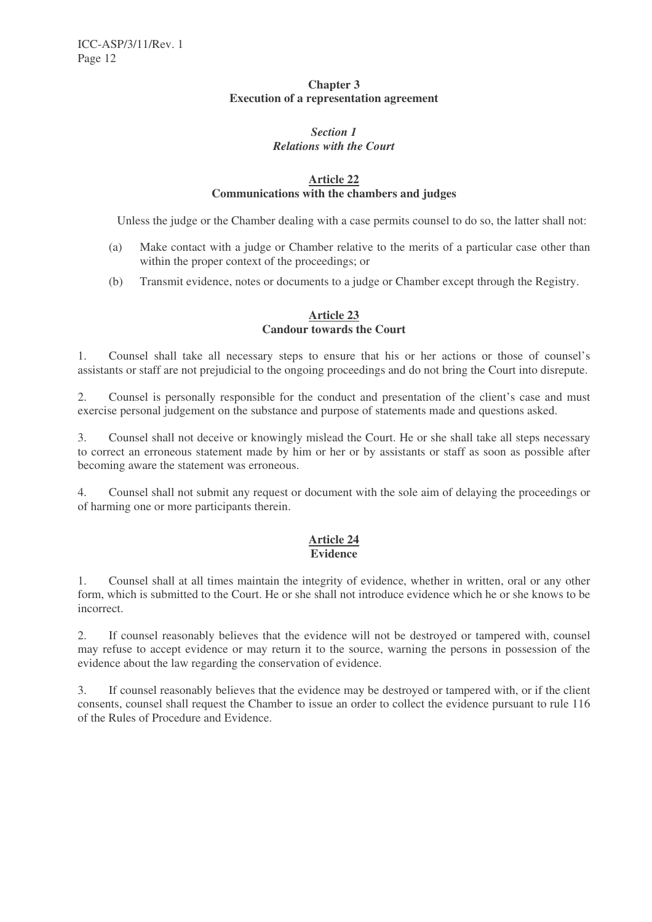#### **Chapter 3 Execution of a representation agreement**

#### *Section 1 Relations with the Court*

#### **Article 22 Communications with the chambers and judges**

Unless the judge or the Chamber dealing with a case permits counsel to do so, the latter shall not:

- (a) Make contact with a judge or Chamber relative to the merits of a particular case other than within the proper context of the proceedings; or
- (b) Transmit evidence, notes or documents to a judge or Chamber except through the Registry.

#### **Article 23 Candour towards the Court**

1. Counsel shall take all necessary steps to ensure that his or her actions or those of counsel's assistants or staff are not prejudicial to the ongoing proceedings and do not bring the Court into disrepute.

2. Counsel is personally responsible for the conduct and presentation of the client's case and must exercise personal judgement on the substance and purpose of statements made and questions asked.

3. Counsel shall not deceive or knowingly mislead the Court. He or she shall take all steps necessary to correct an erroneous statement made by him or her or by assistants or staff as soon as possible after becoming aware the statement was erroneous.

4. Counsel shall not submit any request or document with the sole aim of delaying the proceedings or of harming one or more participants therein.

#### **Article 24 Evidence**

1. Counsel shall at all times maintain the integrity of evidence, whether in written, oral or any other form, which is submitted to the Court. He or she shall not introduce evidence which he or she knows to be incorrect.

2. If counsel reasonably believes that the evidence will not be destroyed or tampered with, counsel may refuse to accept evidence or may return it to the source, warning the persons in possession of the evidence about the law regarding the conservation of evidence.

3. If counsel reasonably believes that the evidence may be destroyed or tampered with, or if the client consents, counsel shall request the Chamber to issue an order to collect the evidence pursuant to rule 116 of the Rules of Procedure and Evidence.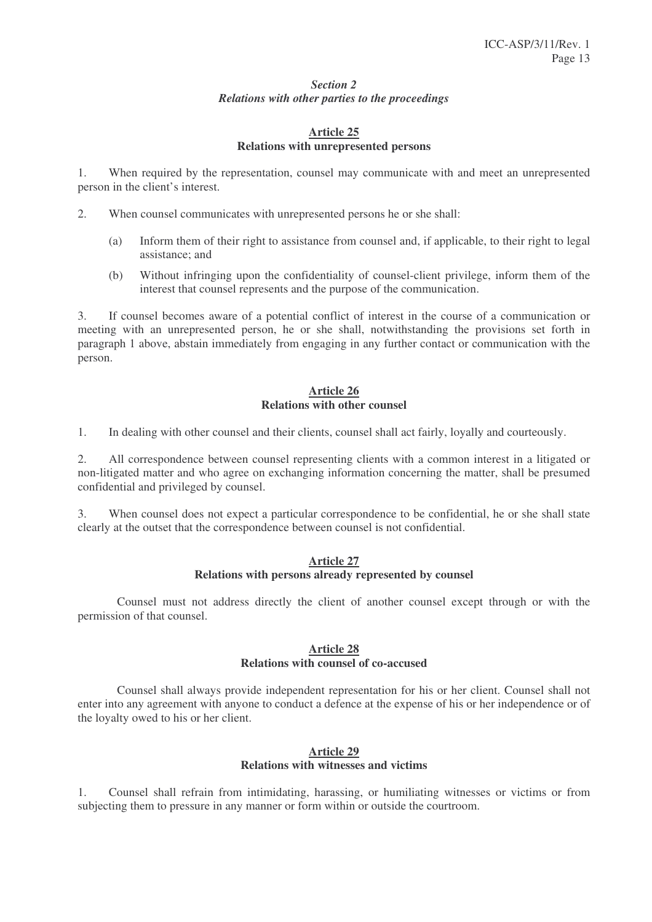#### *Section 2 Relations with other parties to the proceedings*

#### **Article 25 Relations with unrepresented persons**

1. When required by the representation, counsel may communicate with and meet an unrepresented person in the client's interest.

- 2. When counsel communicates with unrepresented persons he or she shall:
	- (a) Inform them of their right to assistance from counsel and, if applicable, to their right to legal assistance; and
	- (b) Without infringing upon the confidentiality of counsel-client privilege, inform them of the interest that counsel represents and the purpose of the communication.

3. If counsel becomes aware of a potential conflict of interest in the course of a communication or meeting with an unrepresented person, he or she shall, notwithstanding the provisions set forth in paragraph 1 above, abstain immediately from engaging in any further contact or communication with the person.

#### **Article 26 Relations with other counsel**

1. In dealing with other counsel and their clients, counsel shall act fairly, loyally and courteously.

2. All correspondence between counsel representing clients with a common interest in a litigated or non-litigated matter and who agree on exchanging information concerning the matter, shall be presumed confidential and privileged by counsel.

3. When counsel does not expect a particular correspondence to be confidential, he or she shall state clearly at the outset that the correspondence between counsel is not confidential.

#### **Article 27 Relations with persons already represented by counsel**

Counsel must not address directly the client of another counsel except through or with the permission of that counsel.

#### **Article 28 Relations with counsel of co-accused**

Counsel shall always provide independent representation for his or her client. Counsel shall not enter into any agreement with anyone to conduct a defence at the expense of his or her independence or of the loyalty owed to his or her client.

#### **Article 29 Relations with witnesses and victims**

1. Counsel shall refrain from intimidating, harassing, or humiliating witnesses or victims or from subjecting them to pressure in any manner or form within or outside the courtroom.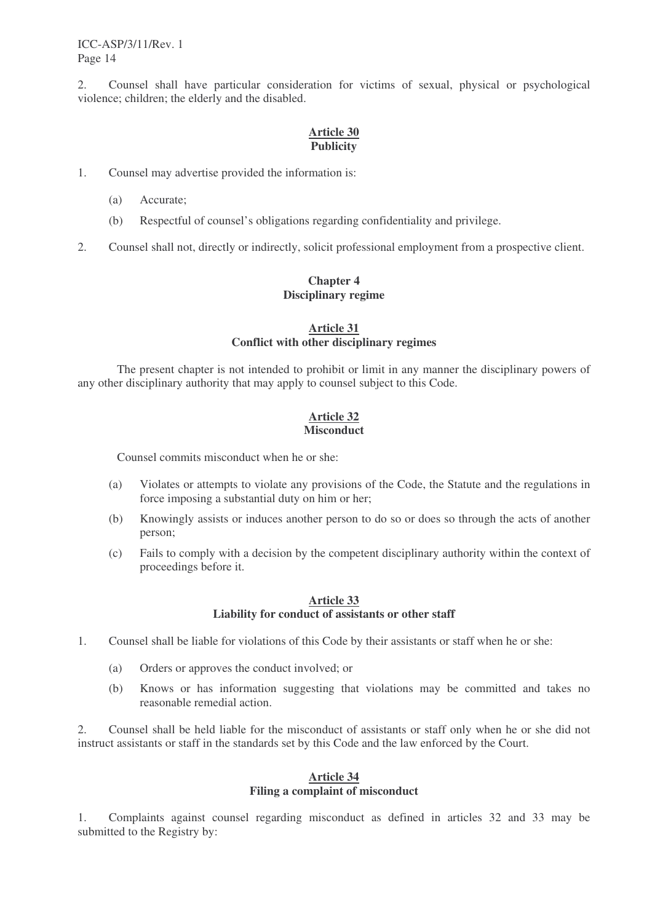2. Counsel shall have particular consideration for victims of sexual, physical or psychological violence; children; the elderly and the disabled.

#### **Article 30 Publicity**

- 1. Counsel may advertise provided the information is:
	- (a) Accurate;
	- (b) Respectful of counsel's obligations regarding confidentiality and privilege.
- 2. Counsel shall not, directly or indirectly, solicit professional employment from a prospective client.

#### **Chapter 4 Disciplinary regime**

#### **Article 31 Conflict with other disciplinary regimes**

The present chapter is not intended to prohibit or limit in any manner the disciplinary powers of any other disciplinary authority that may apply to counsel subject to this Code.

#### **Article 32 Misconduct**

Counsel commits misconduct when he or she:

- (a) Violates or attempts to violate any provisions of the Code, the Statute and the regulations in force imposing a substantial duty on him or her;
- (b) Knowingly assists or induces another person to do so or does so through the acts of another person;
- (c) Fails to comply with a decision by the competent disciplinary authority within the context of proceedings before it.

#### **Article 33 Liability for conduct of assistants or other staff**

- 1. Counsel shall be liable for violations of this Code by their assistants or staff when he or she:
	- (a) Orders or approves the conduct involved; or
	- (b) Knows or has information suggesting that violations may be committed and takes no reasonable remedial action.

2. Counsel shall be held liable for the misconduct of assistants or staff only when he or she did not instruct assistants or staff in the standards set by this Code and the law enforced by the Court.

#### **Article 34 Filing a complaint of misconduct**

1. Complaints against counsel regarding misconduct as defined in articles 32 and 33 may be submitted to the Registry by: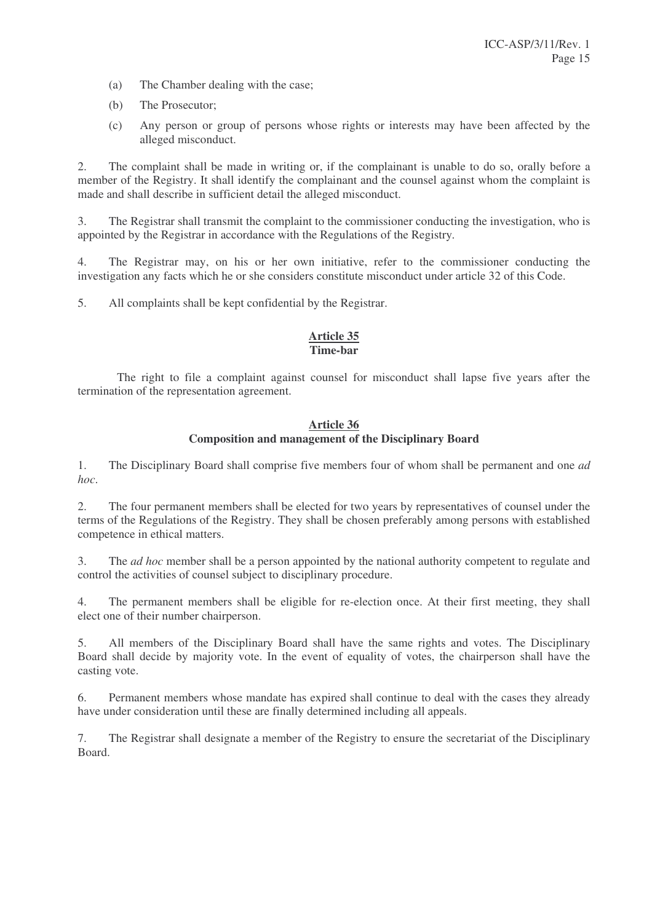- (a) The Chamber dealing with the case;
- (b) The Prosecutor;
- (c) Any person or group of persons whose rights or interests may have been affected by the alleged misconduct.

2. The complaint shall be made in writing or, if the complainant is unable to do so, orally before a member of the Registry. It shall identify the complainant and the counsel against whom the complaint is made and shall describe in sufficient detail the alleged misconduct.

3. The Registrar shall transmit the complaint to the commissioner conducting the investigation, who is appointed by the Registrar in accordance with the Regulations of the Registry*.*

4. The Registrar may, on his or her own initiative, refer to the commissioner conducting the investigation any facts which he or she considers constitute misconduct under article 32 of this Code.

5. All complaints shall be kept confidential by the Registrar.

#### **Article 35 Time-bar**

The right to file a complaint against counsel for misconduct shall lapse five years after the termination of the representation agreement.

#### **Article 36 Composition and management of the Disciplinary Board**

1. The Disciplinary Board shall comprise five members four of whom shall be permanent and one *ad hoc*.

2. The four permanent members shall be elected for two years by representatives of counsel under the terms of the Regulations of the Registry. They shall be chosen preferably among persons with established competence in ethical matters.

3. The *ad hoc* member shall be a person appointed by the national authority competent to regulate and control the activities of counsel subject to disciplinary procedure.

4. The permanent members shall be eligible for re-election once. At their first meeting, they shall elect one of their number chairperson.

5. All members of the Disciplinary Board shall have the same rights and votes. The Disciplinary Board shall decide by majority vote. In the event of equality of votes, the chairperson shall have the casting vote.

6. Permanent members whose mandate has expired shall continue to deal with the cases they already have under consideration until these are finally determined including all appeals.

7. The Registrar shall designate a member of the Registry to ensure the secretariat of the Disciplinary Board.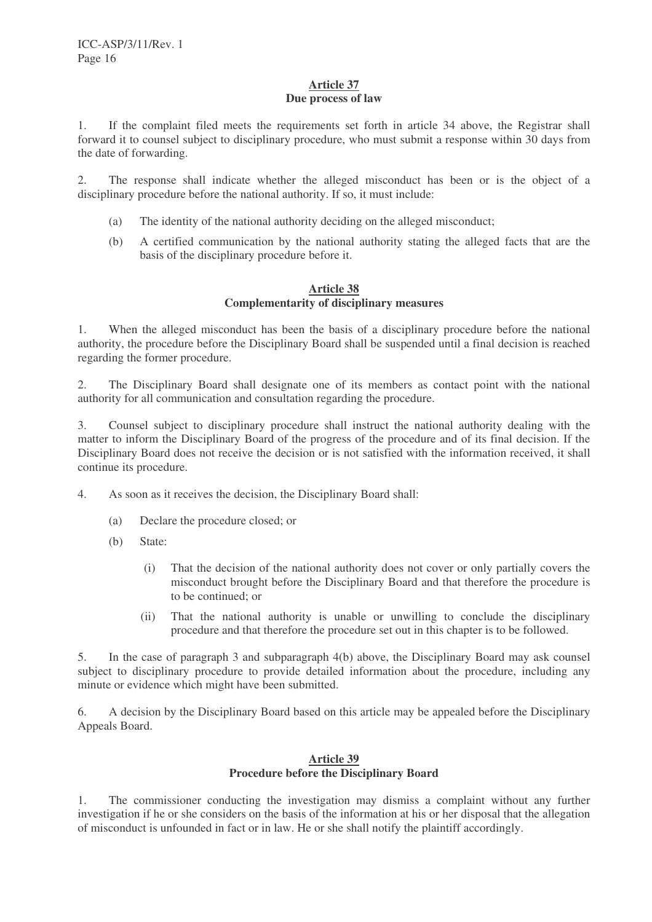#### **Article 37 Due process of law**

1. If the complaint filed meets the requirements set forth in article 34 above, the Registrar shall forward it to counsel subject to disciplinary procedure, who must submit a response within 30 days from the date of forwarding.

2. The response shall indicate whether the alleged misconduct has been or is the object of a disciplinary procedure before the national authority. If so, it must include:

- (a) The identity of the national authority deciding on the alleged misconduct;
- (b) A certified communication by the national authority stating the alleged facts that are the basis of the disciplinary procedure before it.

#### **Article 38 Complementarity of disciplinary measures**

1. When the alleged misconduct has been the basis of a disciplinary procedure before the national authority, the procedure before the Disciplinary Board shall be suspended until a final decision is reached regarding the former procedure.

2. The Disciplinary Board shall designate one of its members as contact point with the national authority for all communication and consultation regarding the procedure.

3. Counsel subject to disciplinary procedure shall instruct the national authority dealing with the matter to inform the Disciplinary Board of the progress of the procedure and of its final decision. If the Disciplinary Board does not receive the decision or is not satisfied with the information received, it shall continue its procedure.

- 4. As soon as it receives the decision, the Disciplinary Board shall:
	- (a) Declare the procedure closed; or
	- (b) State:
		- (i) That the decision of the national authority does not cover or only partially covers the misconduct brought before the Disciplinary Board and that therefore the procedure is to be continued; or
		- (ii) That the national authority is unable or unwilling to conclude the disciplinary procedure and that therefore the procedure set out in this chapter is to be followed.

5. In the case of paragraph 3 and subparagraph 4(b) above, the Disciplinary Board may ask counsel subject to disciplinary procedure to provide detailed information about the procedure, including any minute or evidence which might have been submitted.

6. A decision by the Disciplinary Board based on this article may be appealed before the Disciplinary Appeals Board.

#### **Article 39 Procedure before the Disciplinary Board**

1. The commissioner conducting the investigation may dismiss a complaint without any further investigation if he or she considers on the basis of the information at his or her disposal that the allegation of misconduct is unfounded in fact or in law. He or she shall notify the plaintiff accordingly.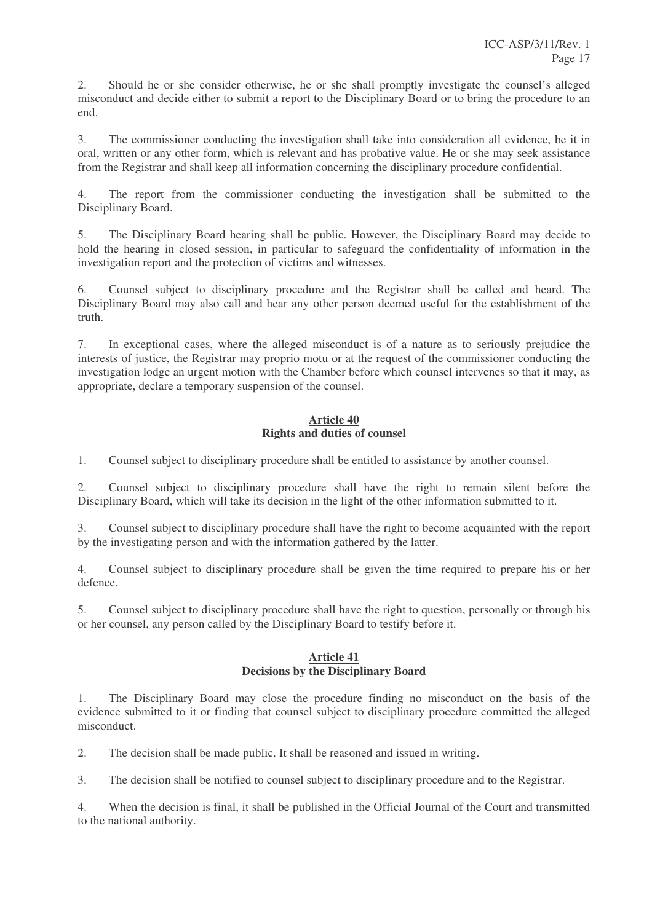2. Should he or she consider otherwise, he or she shall promptly investigate the counsel's alleged misconduct and decide either to submit a report to the Disciplinary Board or to bring the procedure to an end.

3. The commissioner conducting the investigation shall take into consideration all evidence, be it in oral, written or any other form, which is relevant and has probative value. He or she may seek assistance from the Registrar and shall keep all information concerning the disciplinary procedure confidential.

4. The report from the commissioner conducting the investigation shall be submitted to the Disciplinary Board.

5. The Disciplinary Board hearing shall be public. However, the Disciplinary Board may decide to hold the hearing in closed session, in particular to safeguard the confidentiality of information in the investigation report and the protection of victims and witnesses.

6. Counsel subject to disciplinary procedure and the Registrar shall be called and heard. The Disciplinary Board may also call and hear any other person deemed useful for the establishment of the truth.

7. In exceptional cases, where the alleged misconduct is of a nature as to seriously prejudice the interests of justice, the Registrar may proprio motu or at the request of the commissioner conducting the investigation lodge an urgent motion with the Chamber before which counsel intervenes so that it may, as appropriate, declare a temporary suspension of the counsel.

#### **Article 40 Rights and duties of counsel**

1. Counsel subject to disciplinary procedure shall be entitled to assistance by another counsel.

2. Counsel subject to disciplinary procedure shall have the right to remain silent before the Disciplinary Board, which will take its decision in the light of the other information submitted to it.

3. Counsel subject to disciplinary procedure shall have the right to become acquainted with the report by the investigating person and with the information gathered by the latter.

4. Counsel subject to disciplinary procedure shall be given the time required to prepare his or her defence.

5. Counsel subject to disciplinary procedure shall have the right to question, personally or through his or her counsel, any person called by the Disciplinary Board to testify before it.

#### **Article 41 Decisions by the Disciplinary Board**

1. The Disciplinary Board may close the procedure finding no misconduct on the basis of the evidence submitted to it or finding that counsel subject to disciplinary procedure committed the alleged misconduct.

2. The decision shall be made public. It shall be reasoned and issued in writing.

3. The decision shall be notified to counsel subject to disciplinary procedure and to the Registrar.

4. When the decision is final, it shall be published in the Official Journal of the Court and transmitted to the national authority.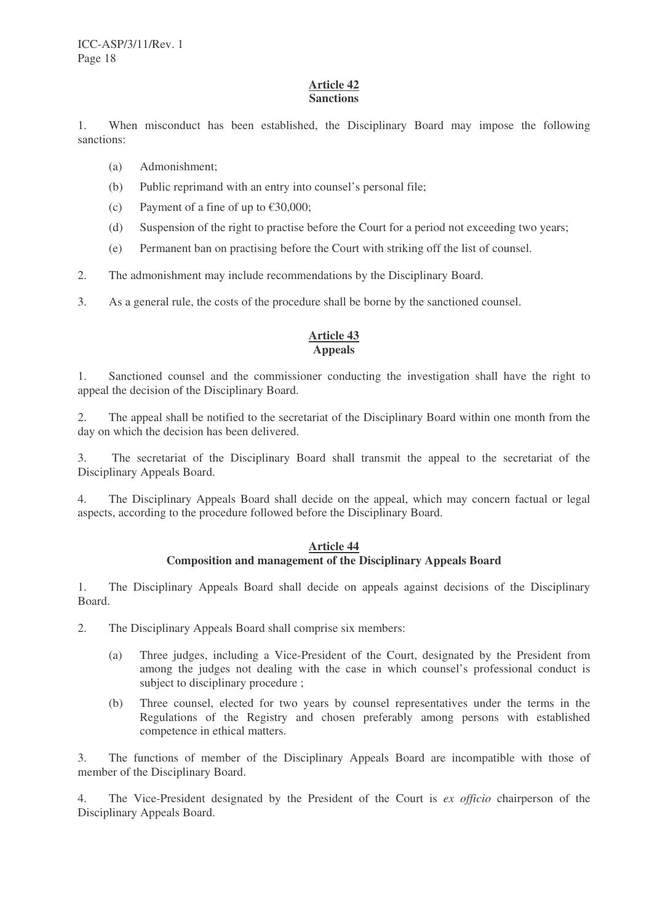#### **Article 42 Sanctions**

1. When misconduct has been established, the Disciplinary Board may impose the following sanctions:

- (a) Admonishment;
- (b) Public reprimand with an entry into counsel's personal file;
- (c) Payment of a fine of up to  $\text{\textsterling}30,000$ ;
- (d) Suspension of the right to practise before the Court for a period not exceeding two years;
- (e) Permanent ban on practising before the Court with striking off the list of counsel.
- 2. The admonishment may include recommendations by the Disciplinary Board.

3. As a general rule, the costs of the procedure shall be borne by the sanctioned counsel.

#### **Article 43 Appeals**

1. Sanctioned counsel and the commissioner conducting the investigation shall have the right to appeal the decision of the Disciplinary Board.

2. The appeal shall be notified to the secretariat of the Disciplinary Board within one month from the day on which the decision has been delivered.

3. The secretariat of the Disciplinary Board shall transmit the appeal to the secretariat of the Disciplinary Appeals Board.

4. The Disciplinary Appeals Board shall decide on the appeal, which may concern factual or legal aspects, according to the procedure followed before the Disciplinary Board.

#### **Article 44 Composition and management of the Disciplinary Appeals Board**

1. The Disciplinary Appeals Board shall decide on appeals against decisions of the Disciplinary Board.

2. The Disciplinary Appeals Board shall comprise six members:

- (a) Three judges, including a Vice-President of the Court, designated by the President from among the judges not dealing with the case in which counsel's professional conduct is subject to disciplinary procedure :
- (b) Three counsel, elected for two years by counsel representatives under the terms in the Regulations of the Registry and chosen preferably among persons with established competence in ethical matters.

3. The functions of member of the Disciplinary Appeals Board are incompatible with those of member of the Disciplinary Board.

4. The Vice-President designated by the President of the Court is *ex officio* chairperson of the Disciplinary Appeals Board.